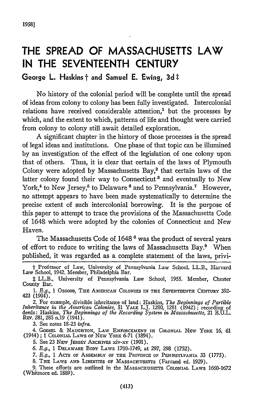## **THE SPREAD OF MASSACHUSETTS LAW IN THE SEVENTEENTH CENTURY**

## **George L.** Haskins **t** and Samuel **E.** Ewing, **3d** t

No history of the colonial period will be complete until the spread of ideas from colony to colony has been fully investigated. Intercolonial relations have received considerable attention,' but the processes **by** which, and the extent to which, patterns of life and thought were carried from colony to colony still await detailed exploration.

A significant chapter in the history of those processes is the spread of legal ideas and institutions. One phase of that topic can be illumined **by** an investigation of the effect of the legislation of one colony upon that of others. Thus, it is clear that certain of the laws of Plymouth Colony were adopted by Massachusetts Bay,<sup>2</sup> that certain laws of the latter colony found their way to Connecticut<sup>3</sup> and eventually to New York,<sup>4</sup> to New Jersey,<sup>5</sup> to Delaware <sup>6</sup> and to Pennsylvania.<sup>7</sup> However, no attempt appears to have been made systematically to determine the precise extent of such intercolonial borrowing. It is the purpose of this paper to attempt to trace the provisions of the Massachusetts Code of 1648 which were adopted **by** the colonies of Connecticut and New Haven.

The Massachusetts Code of 1648<sup>8</sup> was the product of several years of effort to reduce to writing the laws of Massachusetts Bay.' When published, it was regarded as a complete statement of the laws, privi-

3. See notes **18-23** *infra.*

4. GOEBEL & NAUGHTON, LAW ENFORCEMENT IN COLONIAL NEW YORK 16, 61 (1944) ; 1 COLONIAL LAWS or Ntw YORK 6-71 (1894).

5. See 23 New JERSEY ARCHIVES xiv-xv (1901).

**6.** *E.g.,* 1 DELAWARE BODY LAWS 1700-1749, at 297, **298** (1752).

*7. E.g.,* 1 AcTs or ASSmiBLY **OF THt** PROVINcE **OF** PENNSYLVANIA 33 (1775).

8. THE LAWS AND LIBERTIES OF MASSACHUSETTS (Farrand ed. 1929).

9. These efforts are outlined in the MASSACHUSETTS COLONIAL LAWS 1660-1672 (Whitmore ed. 1889).

t Professor of Law, University of Pennsylvania Law School. LL.B., Harvard Law School, 1942. Member, Philadelphia Bar.

<sup>:</sup> LL.B., University of Pennsylvania Law School, 1955. Member, Chester County Bar.

<sup>1.</sup> E.g., 1 Oscood, THE AMERICAN COLONIES IN THE SEVENTEENTH CENTURY 392-<br>423 (1904).

<sup>2.</sup> For example, divisible inheritance of land: Haskins, *The Beginnings of Partible Inheritance in. the Anterican Colonies,* 51 YALE L.J. 1280, 1281 (1942) ; recording of deeds : Haskins, *The Beginnings of the Recording System in Massachusetts,* 21 B.U.L.<br>R<del>x</del>v. 281, 285 n.19 (1941).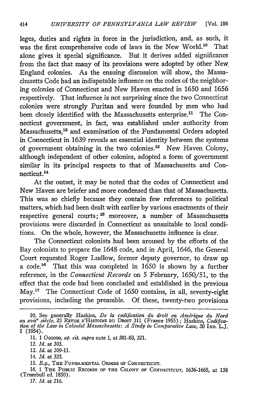leges, duties and rights in force in the jurisdiction, and, as such, it was the first comprehensive code of laws in the New World.<sup>10</sup> That alone gives it special significance. But it derives added significance from the fact that many of its provisions were adopted by other New England colonies. As the ensuing discussion will show, the Massachusetts Code had an indisputable influence on the codes of the neighboring colonies of Connecticut and New Haven enacted in 1650 and 1656 respectively. That influence is not surprising since the two Connecticut colonies were strongly Puritan and were founded by men who had been closely identified with the Massachusetts enterprise.<sup>11</sup> The Connecticut government, in fact, was established under authority from Massachusetts,<sup>12</sup> and examination of the Fundamental Orders adopted in Connecticut in 1639 reveals an essential identity between the systems of government obtaining in the two colonies.<sup>13</sup> New Haven Colony, although independent of other colonies, adopted a form of government similar in its principal respects to that of Massachusetts and Connecticut.<sup>14</sup>

At the outset, it may be noted that the codes of Connecticut and New Haven are briefer and more condensed than that of Massachusetts. This was so chiefly because they contain few references to political matters, which had been dealt with earlier by various enactments of their respective general courts;<sup>15</sup> moreover, a number of Massachusetts provisions were discarded in Connecticut as unsuitable to local conditions. On the whole, however, the Massachusetts influence is clear.

The Connecticut colonists had been aroused by the efforts of the Bay colonists to prepare the 1648 code, and in April, 1646, the General Court requested Roger Ludlow, former deputy governor, to draw up a code.<sup>16</sup> That this was completed in 1650 is shown by a further reference, in the *Connecticut Records* on 5 February, 1650/51, to the effect that the code had been concluded and established in the previous May.<sup>17</sup> The Connecticut Code of 1650 contains, in all, seventy-eight provisions, including the preamble. Of these, twenty-two provisions

*17. Id.* at 216.

<sup>10.</sup> See generally Haskins, De la codification du droit en Amérique du Nord<br>au xvii<sup>o</sup> siècle, 23 REVUE D'HISTOIRE DU DROIT 311 (France 1955); Haskins, Codifica-<br>tion of the Law in Colonial Massachusetts: A Study in Compara 1 (1954).

<sup>11. 1</sup> OscooD, *op. cit. supra* note 1, at 301-03, 321.

<sup>12.</sup> *Id.* at 303.

<sup>13.</sup> *Id.* at 309-11.

<sup>14.</sup> *Id.* at 325.

<sup>15.</sup> *E.g.,* THE FUNDAMENTAL ORDERS **OF CONNECTICUT.**

*<sup>16.</sup>* 1 THE PUBLIC RECoRDs OF **THE COLONY** OF **CONNECTICUT,** 1636-1665, at 138 (Trumbull ed. 1850).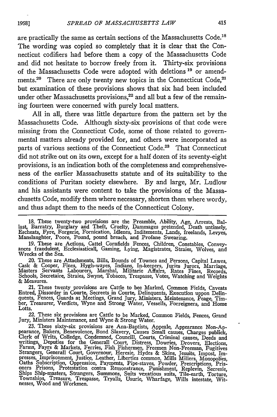are practically the same as certain sections of the Massachusetts Code.'<sup>8</sup> The wording was copied so completely that it is clear that the Connecticut codifiers had before them a copy of the Massachusetts Code and did not hesitate to borrow freely from it. Thirty-six provisions of the Massachusetts Code were adopted with deletions **'9** or amendments.<sup>20</sup> There are only twenty new topics in the Connecticut Code,<sup>21</sup> but examination of these provisions shows that six had been included under other Massachusetts provisions, $22$  and all but a few of the remaining fourteen were concerned with purely local matters.

All in all, there was little departure from the pattern set by the Massachusetts Code. Although sixty-six provisions of that code were missing from the Connecticut Code, some of those related to governmental matters already provided for, and others were incorporated as parts of various sections of the Connecticut Code.<sup>23</sup> That Connecticut did not strike out on its own, except for a half dozen of its seventy-eight provisions, is an indication both of the completeness and comprehensiveness of the earlier Massachusetts statute and of its suitability to the conditions of Puritan society elsewhere. By and large, Mr. Ludlow and his assistants were content to take the provisions of the Massachusetts Code, modify them where necessary, shorten them where wordy, and thus adapt them to the needs of the Connecticut Colony.

22. These six provisions are Cattle to be Marked, Common Fields, Fences, Grand Jury, Ministers Maintenance, and Wyne & Strong Water.

*1958]*

<sup>18.</sup> These twenty-two provisions are the Preamble, Ability, Age, Arrests, Ballast, Barratry, Burglary and Theft, Cruelty, Dammages pretended, Death untimely Escheats, Fyre, Forgerie, Fornication, Idlenes, Inditements, Lands Manslaughter, Poore, Pound, pound breach, and Profane Swearing.

<sup>19.</sup> These are Actions, Cattel Cornfields Fences, Children, Constables, Convey- ances fraudulent, Ecclesiasticall, Gaming, Lying, Magistrates, Straies, Wolves, and Wrecks of the Sea.

<sup>20.</sup> These are Attachments, Bills, Bounds of Townes and Persons, Capital Lawes, Cask & Cooper, Fines, Hygh-wayes, Indians, In-keepers, Juries Jurors, Marriage, Masters Servants Labourers, Marshal, Militarie Affairs, Rates F Schools, Secretaire, Straies, Swyne, Tobacco, Trespasse, Votes, Watching and Weights & Measures.

<sup>21.</sup> These twenty provisions are Cattle to bee Marked, Common Fields, Caveats Entred, Dissorder in Courte, Secreets in Courte, Delinquents, Execution uppon Delinquents, Fences, Guards at Meetings, Grand Jury, Ministers, Meintenance, Peage, Timber, Treasurer, Verdicts, Wyne and Strong Water, Vessells, Forreigners, and Home Lotts.

<sup>23.</sup> These sixty-six provisions are Ana-Baptists, Appeale, Appearance Non-Ap-pearance, Bakers, Benevolence, Bond Slavery, Causes Small causes, Charges publick, Clerk of Writs, Colledge, Condemned, Councill, Courts, Criminal causes, Deeds and<br>writings, Deputies for the Generall Court, Distress, Dowries, Drovers, Elections<br>Farms, Fayrs & Markets, Ferries, Fish Fishermen, Freemen No Strangers, Generall Court, Governour, Heresie, Hydes & Skins, Jesuits, Impost, Im-presses, Imprisonment, Justice, Leather, Liberties common, Mills Millers, Monopolies, Oaths Subscription, Oppression, Payments, Pipe-staves, Powder, Prescriptions, Pris-<br>
oners Prisons, Protestation contra Remonstrance, Punishment, Replevin, Secresie Ships Ship-masters, Strangers, Summons, Suits vexatious suits, Tile-earth, Torture, Townships, Treasure, Trespasse, Tryalls, Usurie, Wharfage, Wills intestate, Wit-nesses, Wood and Workmen.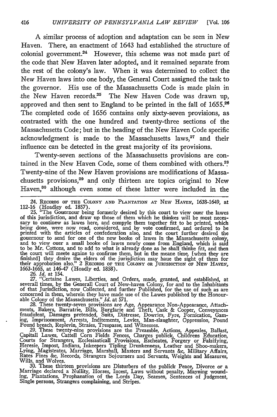A similar process of adoption and adaptation can be seen in New Haven. There, an enactment of 1643 had established the structure of colonial government.<sup>24</sup> However, this scheme was not made part of the code that New Haven later adopted, and it remained separate from the rest of the colony's law. When it was determined to collect the New Haven laws into one body, the General Court assigned the task to the governor. His use of the Massachusetts Code is made plain in the New Haven records. $25$  The New Haven Code was drawn up, approved and then sent to England to be printed in the fall of 1655.<sup>26</sup> The completed code of 1656 contains only sixty-seven provisions, as contrasted with the one hundred and twenty-three sections of the Massachusetts Code; but in the heading of the New Haven Code specific acknowledgment is made to the Massachusetts laws, $27$  and their influence can be detected in the great majority of its provisions.

Twenty-seven sections of the Massachusetts provisions are contained in the New Haven Code, some of them combined with others.", Twenty-nine of the New Haven provisions are modifications of Massachusetts provisions, $29$  and only thirteen are topics original to New Haven,<sup>30</sup> although even some of these latter were included in the

24. RECORDS OF **THE COLONY AND PLANTATION AT NEW HAVEN,** 1638-1649, at 112-16 (Hoadley ed. 1857). 25. "The Gouernour being formerly desired by this court to view ouer the lawes

of this jurisdiction, and draw up those of them which he thinkes will be most neces- sary to continew as lawes here, and compyle them together fitt to be printed, which being done, were now read, considered, and by vote confirmed, and ordered to be printed with the articles of confederation also, and the court further desired the gouernour to send for one of the new booke of lawes in the Massachusetts colony, and to view ouer a small booke of lawes newly come from England, which is said to be Mr. Cottons, and to add to what is already done as he sh their approbation also." 2 RECORDS OF THE COLONY OR JURISDICTION OF NEW HAVEN

1663-1665, at 146-47 (Hoadly ed. 1858).<br>
26. Id. at 154.<br>
27. "Certaine Lawes, Liberties, and Orders, made, granted, and established, at<br>
severall times, by the Generall Court of New-haven Colony, for and to the Inhabitant of that Jurisdiction, now Collected, and further Published, for the use of such as are concerned in them, wherein they have made use of the Lawes published by the Honour-able Colony of the Massachusetts." *Id.* at 571.

28. These twenty-seven provisions are Age, Appearance Non-Appearance, Attachments, Bakers, Barratrie, Bills, Burglarie and Theft, Cask & Cooper, Conveyances fraudulent, Damages pretended, Suits, Distresse, Dowries, Fyre, F

Pound breach, Replevin, Straies, Trespasse, and Witnesses.<br>29. These twenty-nine provisions are the Preamble, Actions, Appeales, Ballast,<br>Capitall Lawes, Cattell Corn Fields Fences. Charges publick. Childrens Education. Courts for Strangers, Ecclesiasticall Provisions, Escheates, Genery or Falsifying<br>Heresie, Impost, Indians, Inkeepers Tipling Drunkenness, Leather and Shoo-makers,<br>Lying, Magistrates, Marriage, Marshall, Masters and Servan Rates Fines &c, Records, Strangers Sojourners and Servants, Weights and Measures, Wills, and Wolves.

**30.** These thirteen provisions are Disturbers of the publick Peace, Divorce or a Marriage declared a Nullity, Horses, Incest, Laws without penalty, Mayning wounding, Plantations, Prophanation of the Lords Day, Seamen, Sentences of Judgment, Single persons, Strangers complaining, and Stripes.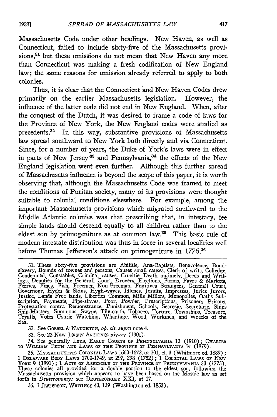Massachusetts Code under other headings. New Haven, as well as Connecticut, failed to include sixty-five of the Massachusetts provisions,<sup>31</sup> but these omissions do not mean that New Haven any more than Connecticut was making a fresh codification of New England law; the same reasons for omission already referred to apply to both colonies.

Thus, it is clear that the Connecticut and New Haven Codes drew primarily on the earlier Massachusetts legislation. However, the influence of the latter code did not end in New England. When, after the conquest of the Dutch, it was desired to frame a code of laws for the Province of New York, the New England codes were studied as precedents.?2 In this way, substantive provisions of Massachusetts law spread southward to New York both directly and via Connecticut. Since, for a number of years, the Duke of York's laws were in effect in parts of New Jersey<sup>33</sup> and Pennsylvania,<sup>34</sup> the effects of the New England legislation went even further. Although this further spread of Massachusetts influence is beyond the scope of this paper, it is worth observing that, although the Massachusetts Code was framed to meet the conditions of Puritan society, many of its provisions were thought suitable to colonial conditions elsewhere. For example, among the important Massachusetts provisions which migrated southward to the Middle Atlantic colonies was that prescribing that, in intestacy, fee simple lands should descend equally to all children rather than to the eldest son by primogeniture as at common law.<sup>35</sup> This basic rule of modem intestate distribution was thus in force in several localities well before Thomas Jefferson's attack on primogeniture in 1776.<sup>36</sup>

32. See GoEnsL & NAUGHTON, *op. cit. supra* note 4.

**33.** See 23 NEw JERsEY ARCHIVES xiv-xv (1901).

34. See generally LOYD, EARLY COURTS **OP** PENNSYLVANIA **13 (1910);** CHARTER **TO** WILLIAM PENN **AND** LAWS **OF** THE PROVINCE **OP** PENNSYLVANIA iv (1879).

36. 1 JEVERSON, WRITINGS 43, **139** (Washington ed. **1853).**

<sup>31.</sup> These sixty-five provisions are Abilitie, Ana-Baptists, Benevolence, Bond-<br>slavery, Bounds of townes and persons, Causes small causes, Clerk of writs, Colledge,<br>Condemned, Constables, Criminal causes. Crueltie, Death u Governour, Hydes & Skins, Hygh-wayes, Idlenes, Jesuits, Impresses, Juries Jurors, Justice, Lands Free lands, Liberties Common, Mills Millers, Monopolies, Oaths Subscription, Payments, Pipe-staves, Poor, Powder, Prescriptions, Prisoners Prisons,<br>Scription, Payments, Pipe-staves, Poor, Powder, Prescriptio Ship-Masters, Summons, Swyne, Tile-earth, Tobacco, Torture, Townships, Treasure, Tryalls, Votes Usurie Watching, Wharfage, Wood, Workmen, and Wrecks of the Sea.

<sup>35.</sup> MASSACHUSETTS COLONIAL LAWS 1660-1672, at 201, cl. 3 (Whitmore ed. 1889); 1 DELAWARE BODY LAWS 1700-1749, at 297, 298 (1752) ; 1 COLONIAL LAWS OF NEW YORK 9 (1891) ; 1 ACTS **op ASSEMBLY Or** THE PROVINCE **Or** PENNSYLVANIA 33 (1775). These colonies all provided for a double portion to the eldest son, following the Massachusetts provision which appears to have been based on the Mosaic law as set forth in *Deuternoimy:* see DEUTERONOMY **XXI,** at **17.**